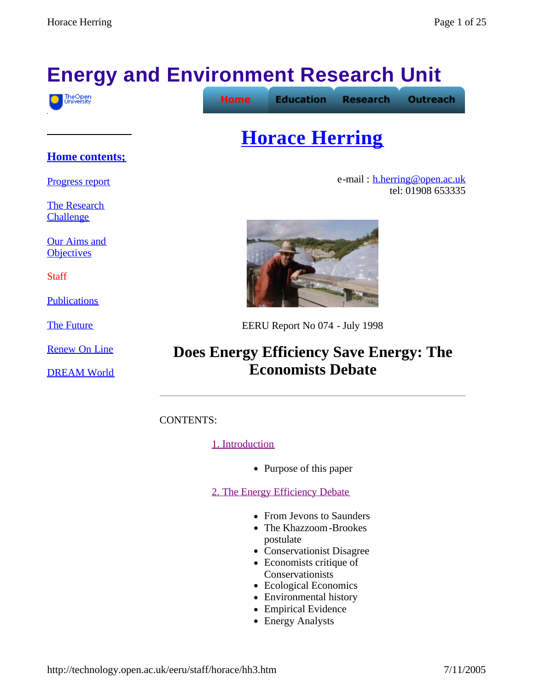# **Energy and Environment Research Unit**

**Home** 



**Education** 

**Research Outreach** 

## **Horace Herring**

e-mail: h.herring@open.ac.uk tel: 01908 653335



EERU Report No 074 - July 1998

## **Does Energy Efficiency Save Energy: The Economists Debate**

CONTENTS:

#### 1. Introduction

• Purpose of this paper

2. The Energy Efficiency Debate

- From Jevons to Saunders
- The Khazzoom-Brookes postulate
- Conservationist Disagree
- $\bullet$  Economists critique of Conservationists
- Ecological Economics
- Environmental history
- Empirical Evidence
- Energy Analysts

#### **Home contents;**

Progress report

The Research **Challenge** 

Our Aims and **Objectives** 

**Staff** 

**Publications** 

The Future

Renew On Line

DREAM World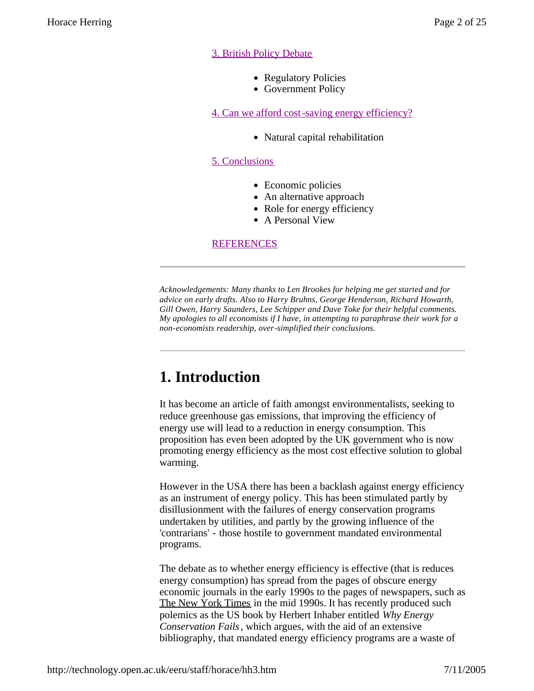#### 3. British Policy Debate

- Regulatory Policies
- Government Policy

4. Can we afford cost-saving energy efficiency?

• Natural capital rehabilitation

#### 5. Conclusions

- Economic policies
- $\bullet$  An alternative approach
- Role for energy efficiency
- A Personal View

#### **REFERENCES**

*Acknowledgements: Many thanks to Len Brookes for helping me get started and for advice on early drafts. Also to Harry Bruhns, George Henderson, Richard Howarth, Gill Owen, Harry Saunders, Lee Schipper and Dave Toke for their helpful comments. My apologies to all economists if I have, in attempting to paraphrase their work for a non-economists readership, over-simplified their conclusions.*

## **1. Introduction**

It has become an article of faith amongst environmentalists, seeking to reduce greenhouse gas emissions, that improving the efficiency of energy use will lead to a reduction in energy consumption. This proposition has even been adopted by the UK government who is now promoting energy efficiency as the most cost effective solution to global warming.

However in the USA there has been a backlash against energy efficiency as an instrument of energy policy. This has been stimulated partly by disillusionment with the failures of energy conservation programs undertaken by utilities, and partly by the growing influence of the 'contrarians' - those hostile to government mandated environmental programs.

The debate as to whether energy efficiency is effective (that is reduces energy consumption) has spread from the pages of obscure energy economic journals in the early 1990s to the pages of newspapers, such as The New York Times in the mid 1990s. It has recently produced such polemics as the US book by Herbert Inhaber entitled *Why Energy Conservation Fails*, which argues, with the aid of an extensive bibliography, that mandated energy efficiency programs are a waste of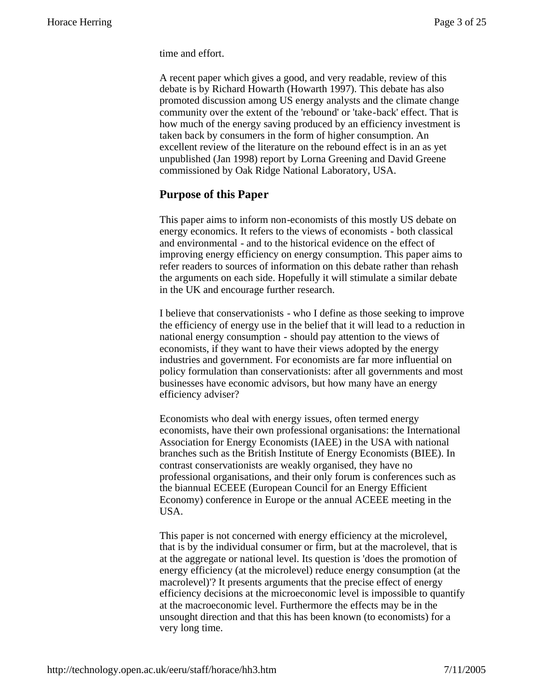time and effort.

A recent paper which gives a good, and very readable, review of this debate is by Richard Howarth (Howarth 1997). This debate has also promoted discussion among US energy analysts and the climate change community over the extent of the 'rebound' or 'take-back' effect. That is how much of the energy saving produced by an efficiency investment is taken back by consumers in the form of higher consumption. An excellent review of the literature on the rebound effect is in an as yet unpublished (Jan 1998) report by Lorna Greening and David Greene commissioned by Oak Ridge National Laboratory, USA.

#### **Purpose of this Paper**

This paper aims to inform non-economists of this mostly US debate on energy economics. It refers to the views of economists - both classical and environmental - and to the historical evidence on the effect of improving energy efficiency on energy consumption. This paper aims to refer readers to sources of information on this debate rather than rehash the arguments on each side. Hopefully it will stimulate a similar debate in the UK and encourage further research.

I believe that conservationists - who I define as those seeking to improve the efficiency of energy use in the belief that it will lead to a reduction in national energy consumption - should pay attention to the views of economists, if they want to have their views adopted by the energy industries and government. For economists are far more influential on policy formulation than conservationists: after all governments and most businesses have economic advisors, but how many have an energy efficiency adviser?

Economists who deal with energy issues, often termed energy economists, have their own professional organisations: the International Association for Energy Economists (IAEE) in the USA with national branches such as the British Institute of Energy Economists (BIEE). In contrast conservationists are weakly organised, they have no professional organisations, and their only forum is conferences such as the biannual ECEEE (European Council for an Energy Efficient Economy) conference in Europe or the annual ACEEE meeting in the USA.

This paper is not concerned with energy efficiency at the microlevel, that is by the individual consumer or firm, but at the macrolevel, that is at the aggregate or national level. Its question is 'does the promotion of energy efficiency (at the microlevel) reduce energy consumption (at the macrolevel)'? It presents arguments that the precise effect of energy efficiency decisions at the microeconomic level is impossible to quantify at the macroeconomic level. Furthermore the effects may be in the unsought direction and that this has been known (to economists) for a very long time.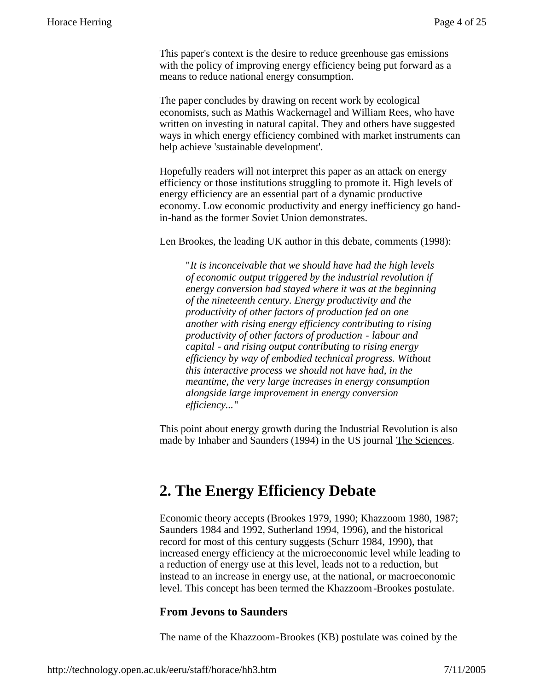This paper's context is the desire to reduce greenhouse gas emissions with the policy of improving energy efficiency being put forward as a means to reduce national energy consumption.

The paper concludes by drawing on recent work by ecological economists, such as Mathis Wackernagel and William Rees, who have written on investing in natural capital. They and others have suggested ways in which energy efficiency combined with market instruments can help achieve 'sustainable development'.

Hopefully readers will not interpret this paper as an attack on energy efficiency or those institutions struggling to promote it. High levels of energy efficiency are an essential part of a dynamic productive economy. Low economic productivity and energy inefficiency go handin-hand as the former Soviet Union demonstrates.

Len Brookes, the leading UK author in this debate, comments (1998):

"*It is inconceivable that we should have had the high levels of economic output triggered by the industrial revolution if energy conversion had stayed where it was at the beginning of the nineteenth century. Energy productivity and the productivity of other factors of production fed on one another with rising energy efficiency contributing to rising productivity of other factors of production - labour and capital - and rising output contributing to rising energy efficiency by way of embodied technical progress. Without this interactive process we should not have had, in the meantime, the very large increases in energy consumption alongside large improvement in energy conversion efficiency...*"

This point about energy growth during the Industrial Revolution is also made by Inhaber and Saunders (1994) in the US journal The Sciences.

### **2. The Energy Efficiency Debate**

Economic theory accepts (Brookes 1979, 1990; Khazzoom 1980, 1987; Saunders 1984 and 1992, Sutherland 1994, 1996), and the historical record for most of this century suggests (Schurr 1984, 1990), that increased energy efficiency at the microeconomic level while leading to a reduction of energy use at this level, leads not to a reduction, but instead to an increase in energy use, at the national, or macroeconomic level. This concept has been termed the Khazzoom-Brookes postulate.

#### **From Jevons to Saunders**

The name of the Khazzoom-Brookes (KB) postulate was coined by the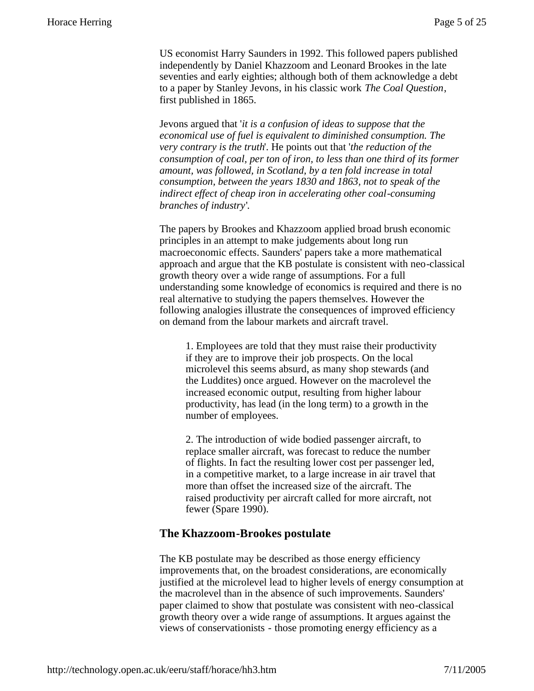US economist Harry Saunders in 1992. This followed papers published independently by Daniel Khazzoom and Leonard Brookes in the late seventies and early eighties; although both of them acknowledge a debt to a paper by Stanley Jevons, in his classic work *The Coal Question*, first published in 1865.

Jevons argued that '*it is a confusion of ideas to suppose that the economical use of fuel is equivalent to diminished consumption. The very contrary is the truth*'. He points out that '*the reduction of the consumption of coal, per ton of iron, to less than one third of its former amount, was followed, in Scotland, by a ten fold increase in total consumption, between the years 1830 and 1863, not to speak of the indirect effect of cheap iron in accelerating other coal-consuming branches of industry*'.

The papers by Brookes and Khazzoom applied broad brush economic principles in an attempt to make judgements about long run macroeconomic effects. Saunders' papers take a more mathematical approach and argue that the KB postulate is consistent with neo-classical growth theory over a wide range of assumptions. For a full understanding some knowledge of economics is required and there is no real alternative to studying the papers themselves. However the following analogies illustrate the consequences of improved efficiency on demand from the labour markets and aircraft travel.

1. Employees are told that they must raise their productivity if they are to improve their job prospects. On the local microlevel this seems absurd, as many shop stewards (and the Luddites) once argued. However on the macrolevel the increased economic output, resulting from higher labour productivity, has lead (in the long term) to a growth in the number of employees.

2. The introduction of wide bodied passenger aircraft, to replace smaller aircraft, was forecast to reduce the number of flights. In fact the resulting lower cost per passenger led, in a competitive market, to a large increase in air travel that more than offset the increased size of the aircraft. The raised productivity per aircraft called for more aircraft, not fewer (Spare 1990).

#### **The Khazzoom-Brookes postulate**

The KB postulate may be described as those energy efficiency improvements that, on the broadest considerations, are economically justified at the microlevel lead to higher levels of energy consumption at the macrolevel than in the absence of such improvements. Saunders' paper claimed to show that postulate was consistent with neo-classical growth theory over a wide range of assumptions. It argues against the views of conservationists - those promoting energy efficiency as a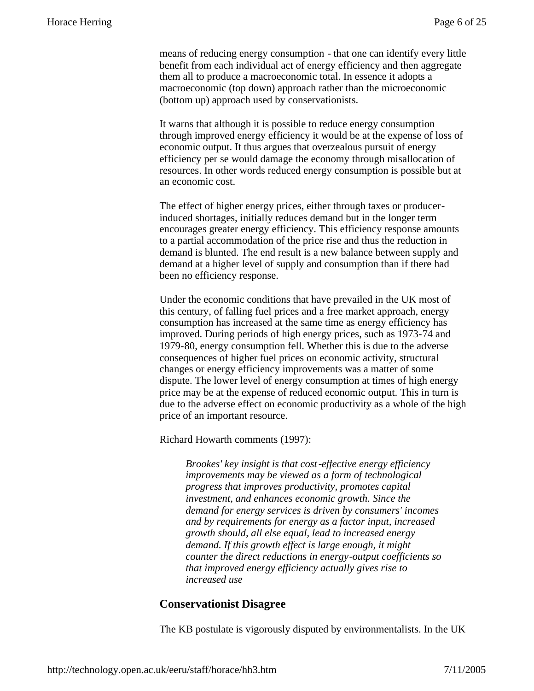means of reducing energy consumption - that one can identify every little benefit from each individual act of energy efficiency and then aggregate them all to produce a macroeconomic total. In essence it adopts a macroeconomic (top down) approach rather than the microeconomic (bottom up) approach used by conservationists.

It warns that although it is possible to reduce energy consumption through improved energy efficiency it would be at the expense of loss of economic output. It thus argues that overzealous pursuit of energy efficiency per se would damage the economy through misallocation of resources. In other words reduced energy consumption is possible but at an economic cost.

The effect of higher energy prices, either through taxes or producerinduced shortages, initially reduces demand but in the longer term encourages greater energy efficiency. This efficiency response amounts to a partial accommodation of the price rise and thus the reduction in demand is blunted. The end result is a new balance between supply and demand at a higher level of supply and consumption than if there had been no efficiency response.

Under the economic conditions that have prevailed in the UK most of this century, of falling fuel prices and a free market approach, energy consumption has increased at the same time as energy efficiency has improved. During periods of high energy prices, such as 1973-74 and 1979-80, energy consumption fell. Whether this is due to the adverse consequences of higher fuel prices on economic activity, structural changes or energy efficiency improvements was a matter of some dispute. The lower level of energy consumption at times of high energy price may be at the expense of reduced economic output. This in turn is due to the adverse effect on economic productivity as a whole of the high price of an important resource.

Richard Howarth comments (1997):

*Brookes' key insight is that cost-effective energy efficiency improvements may be viewed as a form of technological progress that improves productivity, promotes capital investment, and enhances economic growth. Since the demand for energy services is driven by consumers' incomes and by requirements for energy as a factor input, increased growth should, all else equal, lead to increased energy demand. If this growth effect is large enough, it might counter the direct reductions in energy-output coefficients so that improved energy efficiency actually gives rise to increased use*

#### **Conservationist Disagree**

The KB postulate is vigorously disputed by environmentalists. In the UK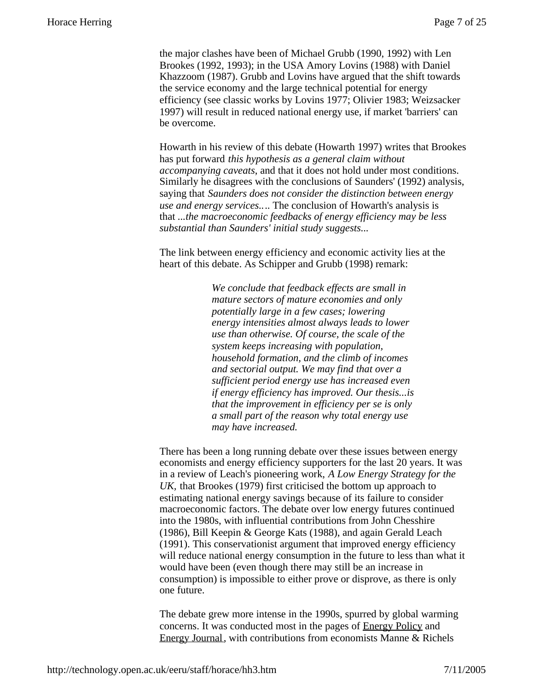the major clashes have been of Michael Grubb (1990, 1992) with Len Brookes (1992, 1993); in the USA Amory Lovins (1988) with Daniel Khazzoom (1987). Grubb and Lovins have argued that the shift towards the service economy and the large technical potential for energy efficiency (see classic works by Lovins 1977; Olivier 1983; Weizsacker 1997) will result in reduced national energy use, if market 'barriers' can be overcome.

Howarth in his review of this debate (Howarth 1997) writes that Brookes has put forward *this hypothesis as a general claim without accompanying caveats*, and that it does not hold under most conditions. Similarly he disagrees with the conclusions of Saunders' (1992) analysis, saying that *Saunders does not consider the distinction between energy use and energy services..*.. The conclusion of Howarth's analysis is that *...the macroeconomic feedbacks of energy efficiency may be less substantial than Saunders' initial study suggests...*

The link between energy efficiency and economic activity lies at the heart of this debate. As Schipper and Grubb (1998) remark:

> *We conclude that feedback effects are small in mature sectors of mature economies and only potentially large in a few cases; lowering energy intensities almost always leads to lower use than otherwise. Of course, the scale of the system keeps increasing with population, household formation, and the climb of incomes and sectorial output. We may find that over a sufficient period energy use has increased even if energy efficiency has improved. Our thesis...is that the improvement in efficiency per se is only a small part of the reason why total energy use may have increased.*

There has been a long running debate over these issues between energy economists and energy efficiency supporters for the last 20 years. It was in a review of Leach's pioneering work, *A Low Energy Strategy for the UK,* that Brookes (1979) first criticised the bottom up approach to estimating national energy savings because of its failure to consider macroeconomic factors. The debate over low energy futures continued into the 1980s, with influential contributions from John Chesshire (1986), Bill Keepin & George Kats (1988), and again Gerald Leach (1991). This conservationist argument that improved energy efficiency will reduce national energy consumption in the future to less than what it would have been (even though there may still be an increase in consumption) is impossible to either prove or disprove, as there is only one future.

The debate grew more intense in the 1990s, spurred by global warming concerns. It was conducted most in the pages of Energy Policy and Energy Journal, with contributions from economists Manne & Richels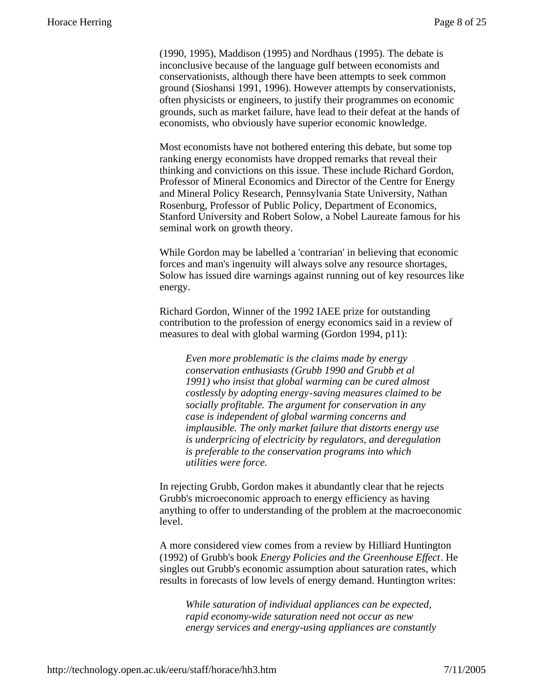(1990, 1995), Maddison (1995) and Nordhaus (1995). The debate is inconclusive because of the language gulf between economists and conservationists, although there have been attempts to seek common ground (Sioshansi 1991, 1996). However attempts by conservationists, often physicists or engineers, to justify their programmes on economic grounds, such as market failure, have lead to their defeat at the hands of economists, who obviously have superior economic knowledge.

Most economists have not bothered entering this debate, but some top ranking energy economists have dropped remarks that reveal their thinking and convictions on this issue. These include Richard Gordon, Professor of Mineral Economics and Director of the Centre for Energy and Mineral Policy Research, Pennsylvania State University, Nathan Rosenburg, Professor of Public Policy, Department of Economics, Stanford University and Robert Solow, a Nobel Laureate famous for his seminal work on growth theory.

While Gordon may be labelled a 'contrarian' in believing that economic forces and man's ingenuity will always solve any resource shortages, Solow has issued dire warnings against running out of key resources like energy.

Richard Gordon, Winner of the 1992 IAEE prize for outstanding contribution to the profession of energy economics said in a review of measures to deal with global warming (Gordon 1994, p11):

*Even more problematic is the claims made by energy conservation enthusiasts (Grubb 1990 and Grubb et al 1991) who insist that global warming can be cured almost costlessly by adopting energy-saving measures claimed to be socially profitable. The argument for conservation in any case is independent of global warming concerns and implausible. The only market failure that distorts energy use is underpricing of electricity by regulators, and deregulation is preferable to the conservation programs into which utilities were force.*

In rejecting Grubb, Gordon makes it abundantly clear that he rejects Grubb's microeconomic approach to energy efficiency as having anything to offer to understanding of the problem at the macroeconomic level.

A more considered view comes from a review by Hilliard Huntington (1992) of Grubb's book *Energy Policies and the Greenhouse Effect*. He singles out Grubb's economic assumption about saturation rates, which results in forecasts of low levels of energy demand. Huntington writes:

*While saturation of individual appliances can be expected, rapid economy-wide saturation need not occur as new energy services and energy-using appliances are constantly*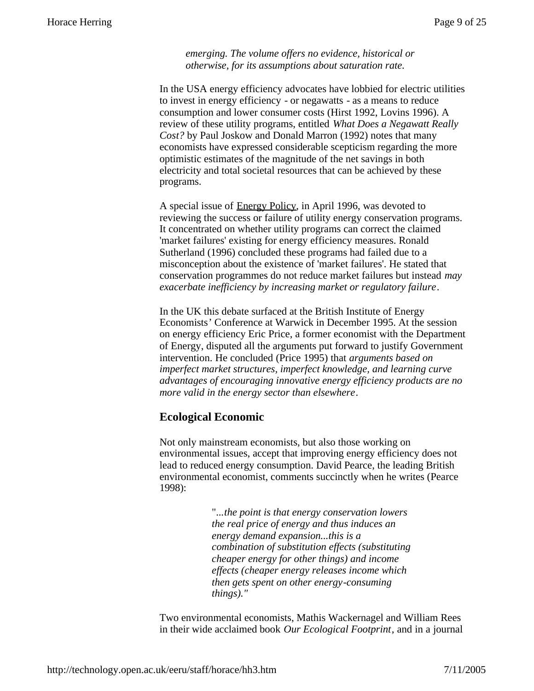*emerging. The volume offers no evidence, historical or otherwise, for its assumptions about saturation rate.*

In the USA energy efficiency advocates have lobbied for electric utilities to invest in energy efficiency - or negawatts - as a means to reduce consumption and lower consumer costs (Hirst 1992, Lovins 1996). A review of these utility programs, entitled *What Does a Negawatt Really Cost?* by Paul Joskow and Donald Marron (1992) notes that many economists have expressed considerable scepticism regarding the more optimistic estimates of the magnitude of the net savings in both electricity and total societal resources that can be achieved by these programs.

A special issue of Energy Policy, in April 1996, was devoted to reviewing the success or failure of utility energy conservation programs. It concentrated on whether utility programs can correct the claimed 'market failures' existing for energy efficiency measures. Ronald Sutherland (1996) concluded these programs had failed due to a misconception about the existence of 'market failures'. He stated that conservation programmes do not reduce market failures but instead *may exacerbate inefficiency by increasing market or regulatory failure*.

In the UK this debate surfaced at the British Institute of Energy Economists' Conference at Warwick in December 1995. At the session on energy efficiency Eric Price, a former economist with the Department of Energy, disputed all the arguments put forward to justify Government intervention. He concluded (Price 1995) that *arguments based on imperfect market structures, imperfect knowledge, and learning curve advantages of encouraging innovative energy efficiency products are no more valid in the energy sector than elsewhere*.

#### **Ecological Economic**

Not only mainstream economists, but also those working on environmental issues, accept that improving energy efficiency does not lead to reduced energy consumption. David Pearce, the leading British environmental economist, comments succinctly when he writes (Pearce 1998):

> "...*the point is that energy conservation lowers the real price of energy and thus induces an energy demand expansion...this is a combination of substitution effects (substituting cheaper energy for other things) and income effects (cheaper energy releases income which then gets spent on other energy-consuming things)."*

Two environmental economists, Mathis Wackernagel and William Rees in their wide acclaimed book *Our Ecological Footprint*, and in a journal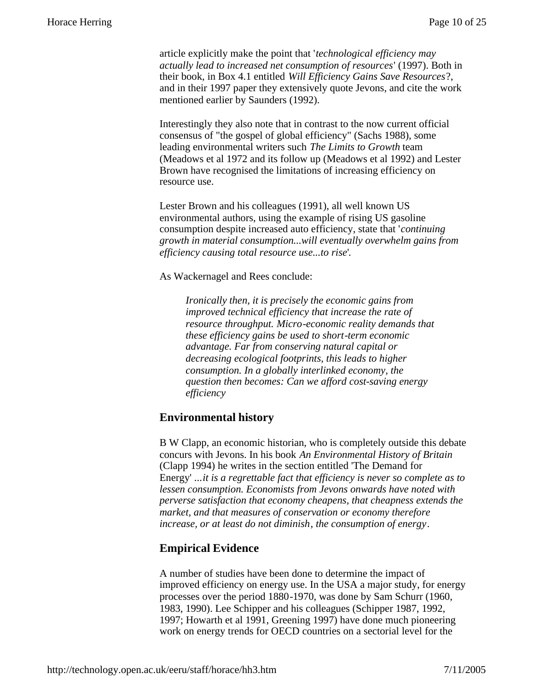article explicitly make the point that '*technological efficiency may actually lead to increased net consumption of resources*' (1997). Both in their book, in Box 4.1 entitled *Will Efficiency Gains Save Resources*?, and in their 1997 paper they extensively quote Jevons, and cite the work mentioned earlier by Saunders (1992).

Interestingly they also note that in contrast to the now current official consensus of "the gospel of global efficiency" (Sachs 1988), some leading environmental writers such *The Limits to Growth* team (Meadows et al 1972 and its follow up (Meadows et al 1992) and Lester Brown have recognised the limitations of increasing efficiency on resource use.

Lester Brown and his colleagues (1991), all well known US environmental authors, using the example of rising US gasoline consumption despite increased auto efficiency, state that '*continuing growth in material consumption...will eventually overwhelm gains from efficiency causing total resource use...to rise*'.

#### As Wackernagel and Rees conclude:

*Ironically then, it is precisely the economic gains from improved technical efficiency that increase the rate of resource throughput. Micro-economic reality demands that these efficiency gains be used to short-term economic advantage. Far from conserving natural capital or decreasing ecological footprints, this leads to higher consumption. In a globally interlinked economy, the question then becomes: Can we afford cost-saving energy efficiency*

#### **Environmental history**

B W Clapp, an economic historian, who is completely outside this debate concurs with Jevons. In his book *An Environmental History of Britain* (Clapp 1994) he writes in the section entitled 'The Demand for Energy' ...*it is a regrettable fact that efficiency is never so complete as to lessen consumption. Economists from Jevons onwards have noted with perverse satisfaction that economy cheapens, that cheapness extends the market, and that measures of conservation or economy therefore increase, or at least do not diminish*, *the consumption of energy*.

#### **Empirical Evidence**

A number of studies have been done to determine the impact of improved efficiency on energy use. In the USA a major study, for energy processes over the period 1880-1970, was done by Sam Schurr (1960, 1983, 1990). Lee Schipper and his colleagues (Schipper 1987, 1992, 1997; Howarth et al 1991, Greening 1997) have done much pioneering work on energy trends for OECD countries on a sectorial level for the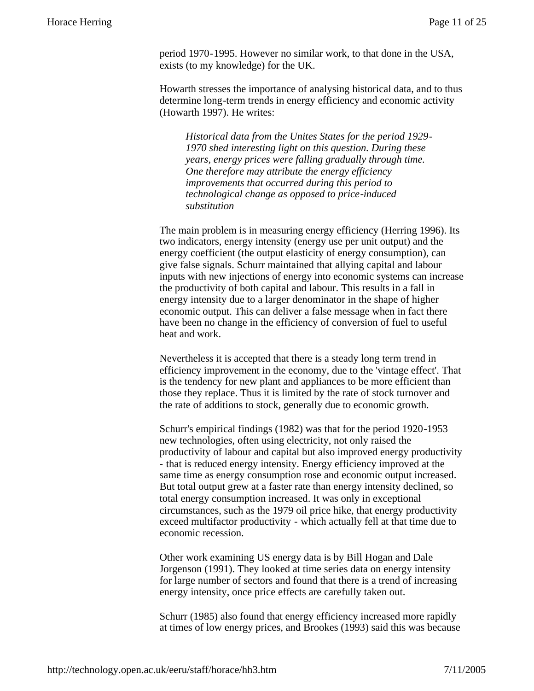period 1970-1995. However no similar work, to that done in the USA, exists (to my knowledge) for the UK.

Howarth stresses the importance of analysing historical data, and to thus determine long-term trends in energy efficiency and economic activity (Howarth 1997). He writes:

*Historical data from the Unites States for the period 1929- 1970 shed interesting light on this question. During these years, energy prices were falling gradually through time. One therefore may attribute the energy efficiency improvements that occurred during this period to technological change as opposed to price-induced substitution*

The main problem is in measuring energy efficiency (Herring 1996). Its two indicators, energy intensity (energy use per unit output) and the energy coefficient (the output elasticity of energy consumption), can give false signals. Schurr maintained that allying capital and labour inputs with new injections of energy into economic systems can increase the productivity of both capital and labour. This results in a fall in energy intensity due to a larger denominator in the shape of higher economic output. This can deliver a false message when in fact there have been no change in the efficiency of conversion of fuel to useful heat and work.

Nevertheless it is accepted that there is a steady long term trend in efficiency improvement in the economy, due to the 'vintage effect'. That is the tendency for new plant and appliances to be more efficient than those they replace. Thus it is limited by the rate of stock turnover and the rate of additions to stock, generally due to economic growth.

Schurr's empirical findings (1982) was that for the period 1920-1953 new technologies, often using electricity, not only raised the productivity of labour and capital but also improved energy productivity - that is reduced energy intensity. Energy efficiency improved at the same time as energy consumption rose and economic output increased. But total output grew at a faster rate than energy intensity declined, so total energy consumption increased. It was only in exceptional circumstances, such as the 1979 oil price hike, that energy productivity exceed multifactor productivity - which actually fell at that time due to economic recession.

Other work examining US energy data is by Bill Hogan and Dale Jorgenson (1991). They looked at time series data on energy intensity for large number of sectors and found that there is a trend of increasing energy intensity, once price effects are carefully taken out.

Schurr (1985) also found that energy efficiency increased more rapidly at times of low energy prices, and Brookes (1993) said this was because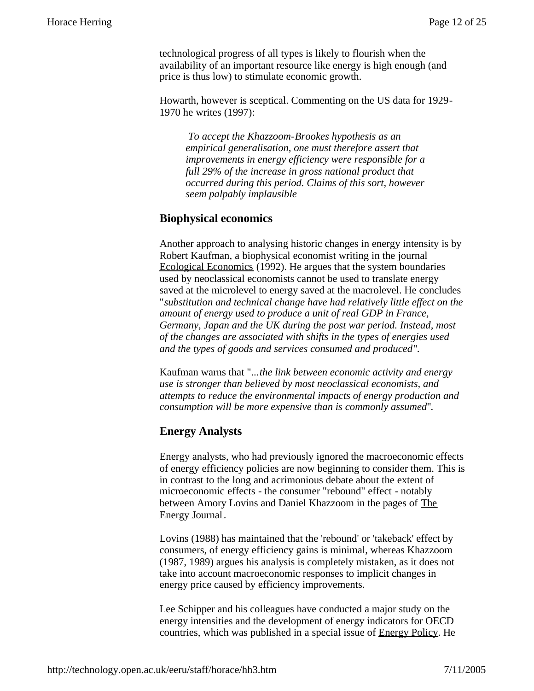technological progress of all types is likely to flourish when the availability of an important resource like energy is high enough (and price is thus low) to stimulate economic growth.

Howarth, however is sceptical. Commenting on the US data for 1929- 1970 he writes (1997):

 *To accept the Khazzoom-Brookes hypothesis as an empirical generalisation, one must therefore assert that improvements in energy efficiency were responsible for a full 29% of the increase in gross national product that occurred during this period. Claims of this sort, however seem palpably implausible*

#### **Biophysical economics**

Another approach to analysing historic changes in energy intensity is by Robert Kaufman, a biophysical economist writing in the journal Ecological Economics (1992). He argues that the system boundaries used by neoclassical economists cannot be used to translate energy saved at the microlevel to energy saved at the macrolevel. He concludes "*substitution and technical change have had relatively little effect on the amount of energy used to produce a unit of real GDP in France, Germany, Japan and the UK during the post war period. Instead, most of the changes are associated with shifts in the types of energies used and the types of goods and services consumed and produced*".

Kaufman warns that "...*the link between economic activity and energy use is stronger than believed by most neoclassical economists, and attempts to reduce the environmental impacts of energy production and consumption will be more expensive than is commonly assumed*".

#### **Energy Analysts**

Energy analysts, who had previously ignored the macroeconomic effects of energy efficiency policies are now beginning to consider them. This is in contrast to the long and acrimonious debate about the extent of microeconomic effects - the consumer "rebound" effect - notably between Amory Lovins and Daniel Khazzoom in the pages of The Energy Journal.

Lovins (1988) has maintained that the 'rebound' or 'takeback' effect by consumers, of energy efficiency gains is minimal, whereas Khazzoom (1987, 1989) argues his analysis is completely mistaken, as it does not take into account macroeconomic responses to implicit changes in energy price caused by efficiency improvements.

Lee Schipper and his colleagues have conducted a major study on the energy intensities and the development of energy indicators for OECD countries, which was published in a special issue of Energy Policy. He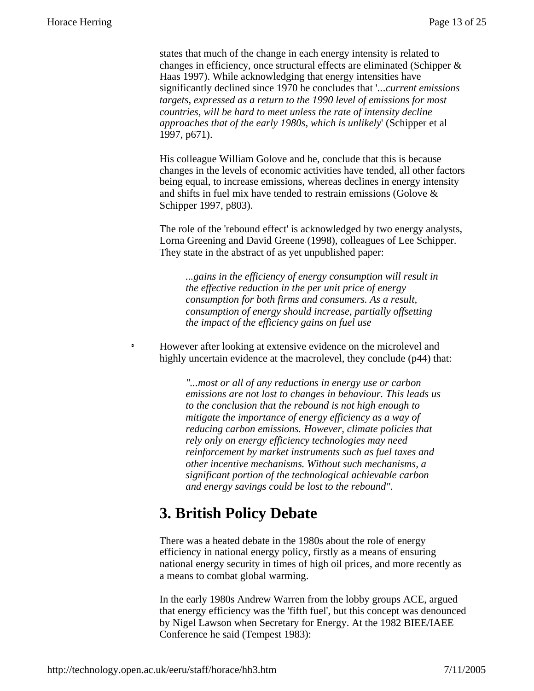states that much of the change in each energy intensity is related to changes in efficiency, once structural effects are eliminated (Schipper & Haas 1997). While acknowledging that energy intensities have significantly declined since 1970 he concludes that '..*.current emissions targets, expressed as a return to the 1990 level of emissions for most countries, will be hard to meet unless the rate of intensity decline approaches that of the early 1980s, which is unlikely*' (Schipper et al 1997, p671).

His colleague William Golove and he, conclude that this is because changes in the levels of economic activities have tended, all other factors being equal, to increase emissions, whereas declines in energy intensity and shifts in fuel mix have tended to restrain emissions (Golove & Schipper 1997, p803).

The role of the 'rebound effect' is acknowledged by two energy analysts, Lorna Greening and David Greene (1998), colleagues of Lee Schipper. They state in the abstract of as yet unpublished paper:

*...gains in the efficiency of energy consumption will result in the effective reduction in the per unit price of energy consumption for both firms and consumers. As a result, consumption of energy should increase, partially offsetting the impact of the efficiency gains on fuel use*

However after looking at extensive evidence on the microlevel and highly uncertain evidence at the macrolevel, they conclude (p44) that:

*"...most or all of any reductions in energy use or carbon emissions are not lost to changes in behaviour. This leads us to the conclusion that the rebound is not high enough to mitigate the importance of energy efficiency as a way of reducing carbon emissions. However, climate policies that rely only on energy efficiency technologies may need reinforcement by market instruments such as fuel taxes and other incentive mechanisms. Without such mechanisms, a significant portion of the technological achievable carbon and energy savings could be lost to the rebound".*

## **3. British Policy Debate**

There was a heated debate in the 1980s about the role of energy efficiency in national energy policy, firstly as a means of ensuring national energy security in times of high oil prices, and more recently as a means to combat global warming.

In the early 1980s Andrew Warren from the lobby groups ACE, argued that energy efficiency was the 'fifth fuel', but this concept was denounced by Nigel Lawson when Secretary for Energy. At the 1982 BIEE/IAEE Conference he said (Tempest 1983):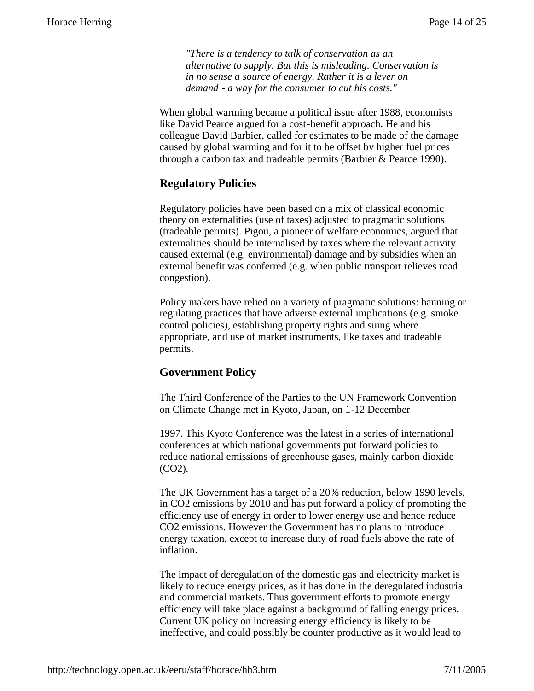*"There is a tendency to talk of conservation as an alternative to supply. But this is misleading. Conservation is in no sense a source of energy. Rather it is a lever on demand - a way for the consumer to cut his costs."*

When global warming became a political issue after 1988, economists like David Pearce argued for a cost-benefit approach. He and his colleague David Barbier, called for estimates to be made of the damage caused by global warming and for it to be offset by higher fuel prices through a carbon tax and tradeable permits (Barbier & Pearce 1990).

#### **Regulatory Policies**

Regulatory policies have been based on a mix of classical economic theory on externalities (use of taxes) adjusted to pragmatic solutions (tradeable permits). Pigou, a pioneer of welfare economics, argued that externalities should be internalised by taxes where the relevant activity caused external (e.g. environmental) damage and by subsidies when an external benefit was conferred (e.g. when public transport relieves road congestion).

Policy makers have relied on a variety of pragmatic solutions: banning or regulating practices that have adverse external implications (e.g. smoke control policies), establishing property rights and suing where appropriate, and use of market instruments, like taxes and tradeable permits.

#### **Government Policy**

The Third Conference of the Parties to the UN Framework Convention on Climate Change met in Kyoto, Japan, on 1-12 December

1997. This Kyoto Conference was the latest in a series of international conferences at which national governments put forward policies to reduce national emissions of greenhouse gases, mainly carbon dioxide (CO2).

The UK Government has a target of a 20% reduction, below 1990 levels, in CO2 emissions by 2010 and has put forward a policy of promoting the efficiency use of energy in order to lower energy use and hence reduce CO2 emissions. However the Government has no plans to introduce energy taxation, except to increase duty of road fuels above the rate of inflation.

The impact of deregulation of the domestic gas and electricity market is likely to reduce energy prices, as it has done in the deregulated industrial and commercial markets. Thus government efforts to promote energy efficiency will take place against a background of falling energy prices. Current UK policy on increasing energy efficiency is likely to be ineffective, and could possibly be counter productive as it would lead to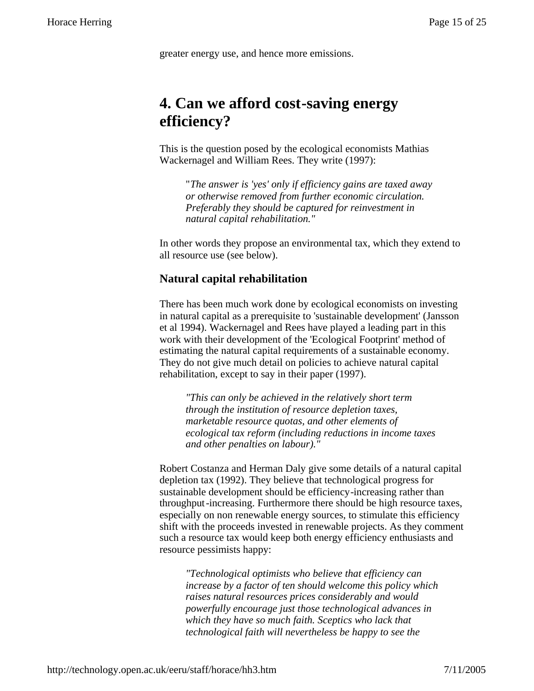greater energy use, and hence more emissions.

## **4. Can we afford cost-saving energy efficiency?**

This is the question posed by the ecological economists Mathias Wackernagel and William Rees. They write (1997):

"*The answer is 'yes' only if efficiency gains are taxed away or otherwise removed from further economic circulation. Preferably they should be captured for reinvestment in natural capital rehabilitation."*

In other words they propose an environmental tax, which they extend to all resource use (see below).

#### **Natural capital rehabilitation**

There has been much work done by ecological economists on investing in natural capital as a prerequisite to 'sustainable development' (Jansson et al 1994). Wackernagel and Rees have played a leading part in this work with their development of the 'Ecological Footprint' method of estimating the natural capital requirements of a sustainable economy. They do not give much detail on policies to achieve natural capital rehabilitation, except to say in their paper (1997).

*"This can only be achieved in the relatively short term through the institution of resource depletion taxes, marketable resource quotas, and other elements of ecological tax reform (including reductions in income taxes and other penalties on labour)."*

Robert Costanza and Herman Daly give some details of a natural capital depletion tax (1992). They believe that technological progress for sustainable development should be efficiency-increasing rather than throughput-increasing. Furthermore there should be high resource taxes, especially on non renewable energy sources, to stimulate this efficiency shift with the proceeds invested in renewable projects. As they comment such a resource tax would keep both energy efficiency enthusiasts and resource pessimists happy:

*"Technological optimists who believe that efficiency can increase by a factor of ten should welcome this policy which raises natural resources prices considerably and would powerfully encourage just those technological advances in which they have so much faith. Sceptics who lack that technological faith will nevertheless be happy to see the*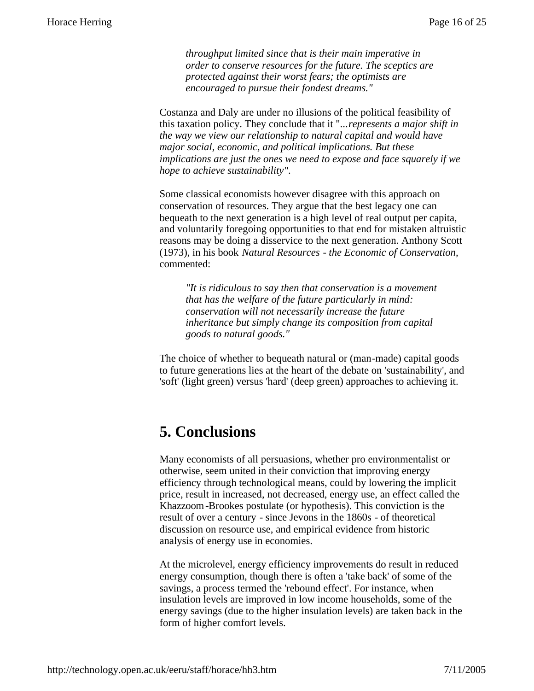*throughput limited since that is their main imperative in order to conserve resources for the future. The sceptics are protected against their worst fears; the optimists are encouraged to pursue their fondest dreams."*

Costanza and Daly are under no illusions of the political feasibility of this taxation policy. They conclude that it "...*represents a major shift in the way we view our relationship to natural capital and would have major social, economic, and political implications. But these implications are just the ones we need to expose and face squarely if we hope to achieve sustainability*".

Some classical economists however disagree with this approach on conservation of resources. They argue that the best legacy one can bequeath to the next generation is a high level of real output per capita, and voluntarily foregoing opportunities to that end for mistaken altruistic reasons may be doing a disservice to the next generation. Anthony Scott (1973), in his book *Natural Resources - the Economic of Conservation*, commented:

*"It is ridiculous to say then that conservation is a movement that has the welfare of the future particularly in mind: conservation will not necessarily increase the future inheritance but simply change its composition from capital goods to natural goods."*

The choice of whether to bequeath natural or (man-made) capital goods to future generations lies at the heart of the debate on 'sustainability', and 'soft' (light green) versus 'hard' (deep green) approaches to achieving it.

## **5. Conclusions**

Many economists of all persuasions, whether pro environmentalist or otherwise, seem united in their conviction that improving energy efficiency through technological means, could by lowering the implicit price, result in increased, not decreased, energy use, an effect called the Khazzoom-Brookes postulate (or hypothesis). This conviction is the result of over a century - since Jevons in the 1860s - of theoretical discussion on resource use, and empirical evidence from historic analysis of energy use in economies.

At the microlevel, energy efficiency improvements do result in reduced energy consumption, though there is often a 'take back' of some of the savings, a process termed the 'rebound effect'. For instance, when insulation levels are improved in low income households, some of the energy savings (due to the higher insulation levels) are taken back in the form of higher comfort levels.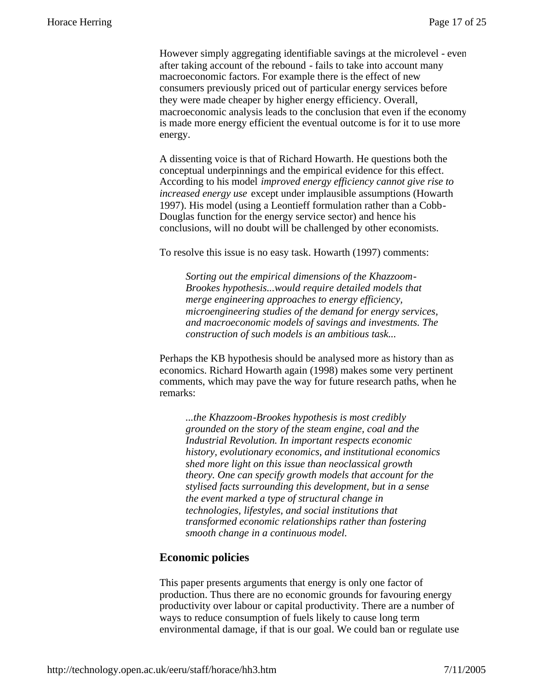However simply aggregating identifiable savings at the microlevel - even after taking account of the rebound - fails to take into account many macroeconomic factors. For example there is the effect of new consumers previously priced out of particular energy services before they were made cheaper by higher energy efficiency. Overall, macroeconomic analysis leads to the conclusion that even if the economy is made more energy efficient the eventual outcome is for it to use more energy.

A dissenting voice is that of Richard Howarth. He questions both the conceptual underpinnings and the empirical evidence for this effect. According to his model *improved energy efficiency cannot give rise to increased energy use* except under implausible assumptions (Howarth 1997). His model (using a Leontieff formulation rather than a Cobb-Douglas function for the energy service sector) and hence his conclusions, will no doubt will be challenged by other economists.

To resolve this issue is no easy task. Howarth (1997) comments:

*Sorting out the empirical dimensions of the Khazzoom-Brookes hypothesis...would require detailed models that merge engineering approaches to energy efficiency, microengineering studies of the demand for energy services, and macroeconomic models of savings and investments. The construction of such models is an ambitious task...*

Perhaps the KB hypothesis should be analysed more as history than as economics. Richard Howarth again (1998) makes some very pertinent comments, which may pave the way for future research paths, when he remarks:

*...the Khazzoom-Brookes hypothesis is most credibly grounded on the story of the steam engine, coal and the Industrial Revolution. In important respects economic history, evolutionary economics, and institutional economics shed more light on this issue than neoclassical growth theory. One can specify growth models that account for the stylised facts surrounding this development, but in a sense the event marked a type of structural change in technologies, lifestyles, and social institutions that transformed economic relationships rather than fostering smooth change in a continuous model.*

#### **Economic policies**

This paper presents arguments that energy is only one factor of production. Thus there are no economic grounds for favouring energy productivity over labour or capital productivity. There are a number of ways to reduce consumption of fuels likely to cause long term environmental damage, if that is our goal. We could ban or regulate use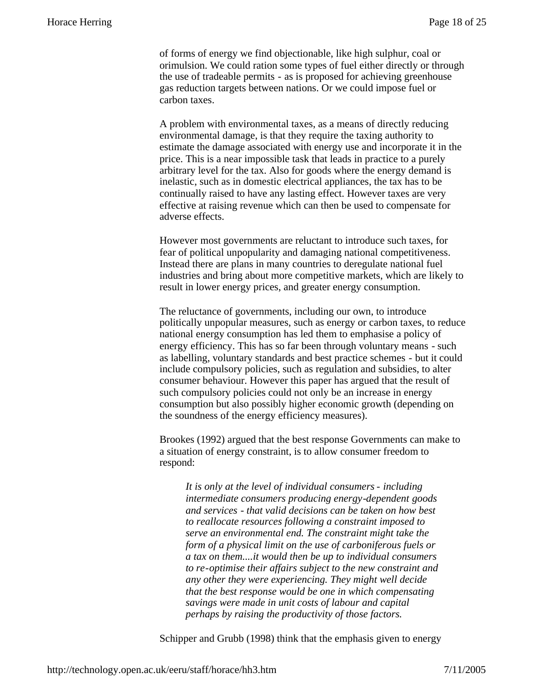of forms of energy we find objectionable, like high sulphur, coal or orimulsion. We could ration some types of fuel either directly or through the use of tradeable permits - as is proposed for achieving greenhouse gas reduction targets between nations. Or we could impose fuel or carbon taxes.

A problem with environmental taxes, as a means of directly reducing environmental damage, is that they require the taxing authority to estimate the damage associated with energy use and incorporate it in the price. This is a near impossible task that leads in practice to a purely arbitrary level for the tax. Also for goods where the energy demand is inelastic, such as in domestic electrical appliances, the tax has to be continually raised to have any lasting effect. However taxes are very effective at raising revenue which can then be used to compensate for adverse effects.

However most governments are reluctant to introduce such taxes, for fear of political unpopularity and damaging national competitiveness. Instead there are plans in many countries to deregulate national fuel industries and bring about more competitive markets, which are likely to result in lower energy prices, and greater energy consumption.

The reluctance of governments, including our own, to introduce politically unpopular measures, such as energy or carbon taxes, to reduce national energy consumption has led them to emphasise a policy of energy efficiency. This has so far been through voluntary means - such as labelling, voluntary standards and best practice schemes - but it could include compulsory policies, such as regulation and subsidies, to alter consumer behaviour. However this paper has argued that the result of such compulsory policies could not only be an increase in energy consumption but also possibly higher economic growth (depending on the soundness of the energy efficiency measures).

Brookes (1992) argued that the best response Governments can make to a situation of energy constraint, is to allow consumer freedom to respond:

*It is only at the level of individual consumers - including intermediate consumers producing energy-dependent goods and services - that valid decisions can be taken on how best to reallocate resources following a constraint imposed to serve an environmental end. The constraint might take the form of a physical limit on the use of carboniferous fuels or a tax on them....it would then be up to individual consumers to re-optimise their affairs subject to the new constraint and any other they were experiencing. They might well decide that the best response would be one in which compensating savings were made in unit costs of labour and capital perhaps by raising the productivity of those factors.*

Schipper and Grubb (1998) think that the emphasis given to energy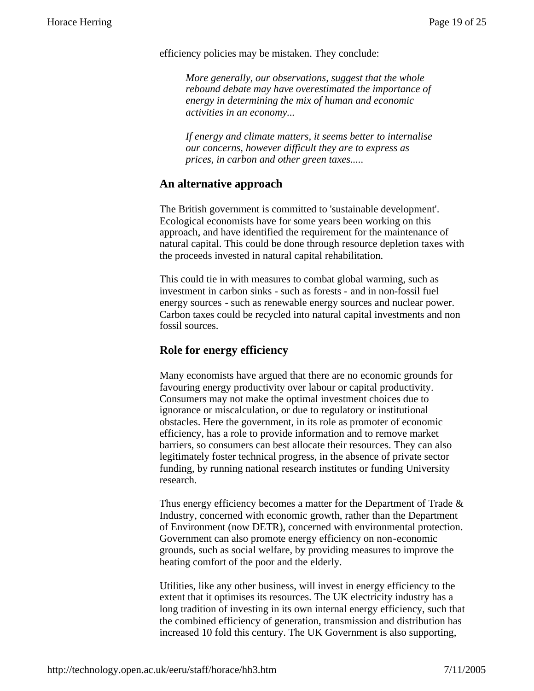efficiency policies may be mistaken. They conclude:

*More generally, our observations, suggest that the whole rebound debate may have overestimated the importance of energy in determining the mix of human and economic activities in an economy...*

*If energy and climate matters, it seems better to internalise our concerns, however difficult they are to express as prices, in carbon and other green taxes.....*

#### **An alternative approach**

The British government is committed to 'sustainable development'. Ecological economists have for some years been working on this approach, and have identified the requirement for the maintenance of natural capital. This could be done through resource depletion taxes with the proceeds invested in natural capital rehabilitation.

This could tie in with measures to combat global warming, such as investment in carbon sinks - such as forests - and in non-fossil fuel energy sources - such as renewable energy sources and nuclear power. Carbon taxes could be recycled into natural capital investments and non fossil sources.

#### **Role for energy efficiency**

Many economists have argued that there are no economic grounds for favouring energy productivity over labour or capital productivity. Consumers may not make the optimal investment choices due to ignorance or miscalculation, or due to regulatory or institutional obstacles. Here the government, in its role as promoter of economic efficiency, has a role to provide information and to remove market barriers, so consumers can best allocate their resources. They can also legitimately foster technical progress, in the absence of private sector funding, by running national research institutes or funding University research.

Thus energy efficiency becomes a matter for the Department of Trade  $\&$ Industry, concerned with economic growth, rather than the Department of Environment (now DETR), concerned with environmental protection. Government can also promote energy efficiency on non-economic grounds, such as social welfare, by providing measures to improve the heating comfort of the poor and the elderly.

Utilities, like any other business, will invest in energy efficiency to the extent that it optimises its resources. The UK electricity industry has a long tradition of investing in its own internal energy efficiency, such that the combined efficiency of generation, transmission and distribution has increased 10 fold this century. The UK Government is also supporting,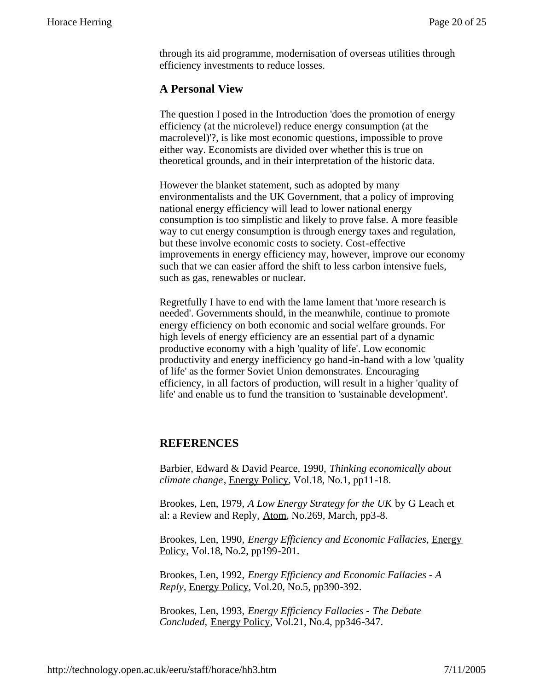through its aid programme, modernisation of overseas utilities through efficiency investments to reduce losses.

#### **A Personal View**

The question I posed in the Introduction 'does the promotion of energy efficiency (at the microlevel) reduce energy consumption (at the macrolevel)'?, is like most economic questions, impossible to prove either way. Economists are divided over whether this is true on theoretical grounds, and in their interpretation of the historic data.

However the blanket statement, such as adopted by many environmentalists and the UK Government, that a policy of improving national energy efficiency will lead to lower national energy consumption is too simplistic and likely to prove false. A more feasible way to cut energy consumption is through energy taxes and regulation, but these involve economic costs to society. Cost-effective improvements in energy efficiency may, however, improve our economy such that we can easier afford the shift to less carbon intensive fuels, such as gas, renewables or nuclear.

Regretfully I have to end with the lame lament that 'more research is needed'. Governments should, in the meanwhile, continue to promote energy efficiency on both economic and social welfare grounds. For high levels of energy efficiency are an essential part of a dynamic productive economy with a high 'quality of life'. Low economic productivity and energy inefficiency go hand-in-hand with a low 'quality of life' as the former Soviet Union demonstrates. Encouraging efficiency, in all factors of production, will result in a higher 'quality of life' and enable us to fund the transition to 'sustainable development'.

#### **REFERENCES**

Barbier, Edward & David Pearce, 1990, *Thinking economically about climate change*, Energy Policy, Vol.18, No.1, pp11-18.

Brookes, Len, 1979, *A Low Energy Strategy for the UK* by G Leach et al: a Review and Reply, Atom, No.269, March, pp3-8.

Brookes, Len, 1990, *Energy Efficiency and Economic Fallacies*, Energy Policy, Vol.18, No.2, pp199-201.

Brookes, Len, 1992, *Energy Efficiency and Economic Fallacies - A Reply*, Energy Policy, Vol.20, No.5, pp390-392.

Brookes, Len, 1993, *Energy Efficiency Fallacies - The Debate Concluded,* Energy Policy, Vol.21, No.4, pp346-347.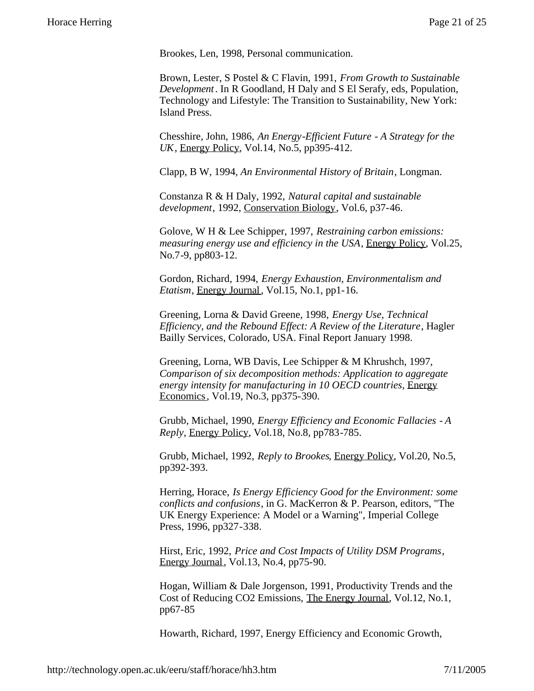Brookes, Len, 1998, Personal communication.

Brown, Lester, S Postel & C Flavin, 1991, *From Growth to Sustainable Development*. In R Goodland, H Daly and S El Serafy, eds, Population, Technology and Lifestyle: The Transition to Sustainability, New York: Island Press.

Chesshire, John, 1986, *An Energy-Efficient Future - A Strategy for the UK*, Energy Policy, Vol.14, No.5, pp395-412.

Clapp, B W, 1994, *An Environmental History of Britain*, Longman.

Constanza R & H Daly, 1992, *Natural capital and sustainable development*, 1992, Conservation Biology, Vol.6, p37-46.

Golove, W H & Lee Schipper, 1997, *Restraining carbon emissions: measuring energy use and efficiency in the USA*, Energy Policy, Vol.25, No.7-9, pp803-12.

Gordon, Richard, 1994, *Energy Exhaustion, Environmentalism and Etatism*, Energy Journal, Vol.15, No.1, pp1-16.

Greening, Lorna & David Greene, 1998, *Energy Use, Technical Efficiency, and the Rebound Effect: A Review of the Literature*, Hagler Bailly Services, Colorado, USA. Final Report January 1998.

Greening, Lorna, WB Davis, Lee Schipper & M Khrushch, 1997, *Comparison of six decomposition methods: Application to aggregate energy intensity for manufacturing in 10 OECD countries*, Energy Economics, Vol.19, No.3, pp375-390.

Grubb, Michael, 1990, *Energy Efficiency and Economic Fallacies - A Reply*, Energy Policy, Vol.18, No.8, pp783-785.

Grubb, Michael, 1992, *Reply to Brookes*, Energy Policy, Vol.20, No.5, pp392-393.

Herring, Horace, *Is Energy Efficiency Good for the Environment: some conflicts and confusions*, in G. MacKerron & P. Pearson, editors, "The UK Energy Experience: A Model or a Warning", Imperial College Press, 1996, pp327-338.

Hirst, Eric, 1992, *Price and Cost Impacts of Utility DSM Programs*, Energy Journal, Vol.13, No.4, pp75-90.

Hogan, William & Dale Jorgenson, 1991, Productivity Trends and the Cost of Reducing CO2 Emissions, The Energy Journal, Vol.12, No.1, pp67-85

Howarth, Richard, 1997, Energy Efficiency and Economic Growth,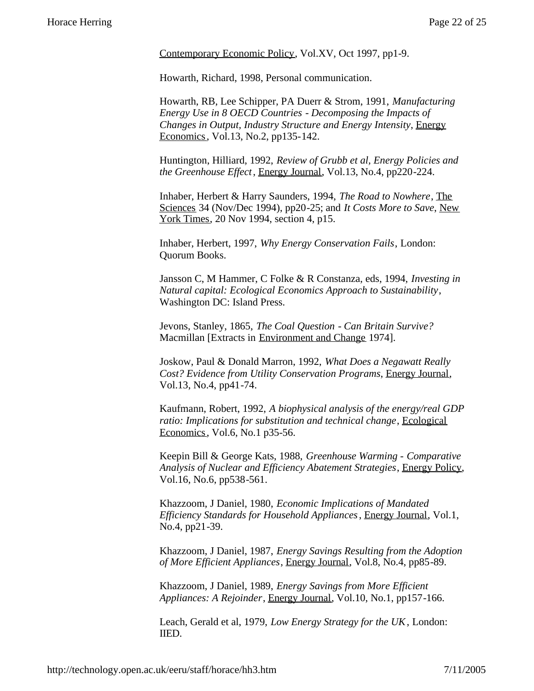Contemporary Economic Policy, Vol.XV, Oct 1997, pp1-9.

Howarth, Richard, 1998, Personal communication.

Howarth, RB, Lee Schipper, PA Duerr & Strom, 1991, *Manufacturing Energy Use in 8 OECD Countries - Decomposing the Impacts of Changes in Output, Industry Structure and Energy Intensity*, Energy Economics, Vol.13, No.2, pp135-142.

Huntington, Hilliard, 1992, *Review of Grubb et al, Energy Policies and the Greenhouse Effect*, Energy Journal, Vol.13, No.4, pp220-224.

Inhaber, Herbert & Harry Saunders, 1994, *The Road to Nowhere*, The Sciences 34 (Nov/Dec 1994), pp20-25; and *It Costs More to Save*, New York Times, 20 Nov 1994, section 4, p15.

Inhaber, Herbert, 1997, *Why Energy Conservation Fails*, London: Quorum Books.

Jansson C, M Hammer, C Folke & R Constanza, eds, 1994, *Investing in Natural capital: Ecological Economics Approach to Sustainability*, Washington DC: Island Press.

Jevons, Stanley, 1865, *The Coal Question - Can Britain Survive?* Macmillan [Extracts in Environment and Change 1974].

Joskow, Paul & Donald Marron, 1992, *What Does a Negawatt Really Cost? Evidence from Utility Conservation Programs*, Energy Journal, Vol.13, No.4, pp41-74.

Kaufmann, Robert, 1992, *A biophysical analysis of the energy/real GDP ratio: Implications for substitution and technical change*, Ecological Economics, Vol.6, No.1 p35-56.

Keepin Bill & George Kats, 1988, *Greenhouse Warming - Comparative Analysis of Nuclear and Efficiency Abatement Strategies*, Energy Policy, Vol.16, No.6, pp538-561.

Khazzoom, J Daniel, 1980, *Economic Implications of Mandated Efficiency Standards for Household Appliances*, Energy Journal, Vol.1, No.4, pp21-39.

Khazzoom, J Daniel, 1987, *Energy Savings Resulting from the Adoption of More Efficient Appliances*, Energy Journal, Vol.8, No.4, pp85-89.

Khazzoom, J Daniel, 1989, *Energy Savings from More Efficient Appliances: A Rejoinder*, Energy Journal, Vol.10, No.1, pp157-166.

Leach, Gerald et al, 1979, *Low Energy Strategy for the UK*, London: IIED.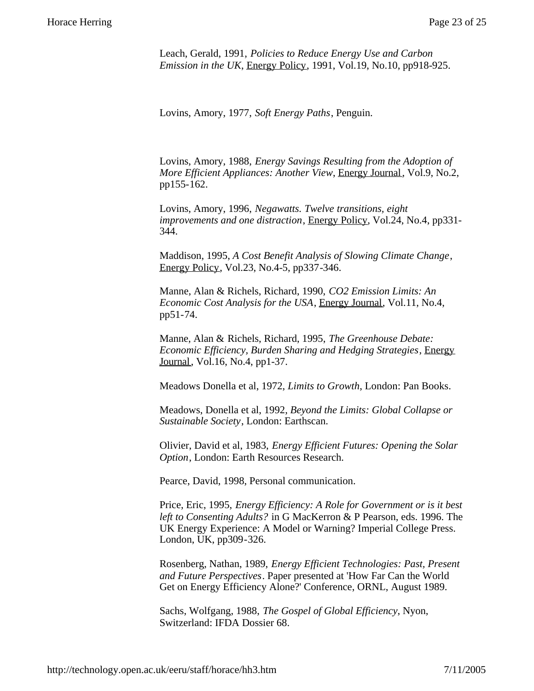Leach, Gerald, 1991, *Policies to Reduce Energy Use and Carbon Emission in the UK*, Energy Policy, 1991, Vol.19, No.10, pp918-925.

Lovins, Amory, 1977, *Soft Energy Paths*, Penguin.

Lovins, Amory, 1988, *Energy Savings Resulting from the Adoption of More Efficient Appliances: Another View*, Energy Journal, Vol.9, No.2, pp155-162.

Lovins, Amory, 1996, *Negawatts. Twelve transitions, eight improvements and one distraction*, Energy Policy, Vol.24, No.4, pp331- 344.

Maddison, 1995, *A Cost Benefit Analysis of Slowing Climate Change*, Energy Policy, Vol.23, No.4-5, pp337-346.

Manne, Alan & Richels, Richard, 1990, *CO2 Emission Limits: An Economic Cost Analysis for the USA*, Energy Journal, Vol.11, No.4, pp51-74.

Manne, Alan & Richels, Richard, 1995, *The Greenhouse Debate: Economic Efficiency, Burden Sharing and Hedging Strategies*, Energy Journal, Vol.16, No.4, pp1-37.

Meadows Donella et al, 1972, *Limits to Growth*, London: Pan Books.

Meadows, Donella et al, 1992, *Beyond the Limits: Global Collapse or Sustainable Society*, London: Earthscan.

Olivier, David et al, 1983, *Energy Efficient Futures: Opening the Solar Option*, London: Earth Resources Research.

Pearce, David, 1998, Personal communication.

Price, Eric, 1995, *Energy Efficiency: A Role for Government or is it best left to Consenting Adults?* in G MacKerron & P Pearson, eds. 1996. The UK Energy Experience: A Model or Warning? Imperial College Press. London, UK, pp309-326.

Rosenberg, Nathan, 1989, *Energy Efficient Technologies: Past, Present and Future Perspectives*. Paper presented at 'How Far Can the World Get on Energy Efficiency Alone?' Conference, ORNL, August 1989.

Sachs, Wolfgang, 1988, *The Gospel of Global Efficiency*, Nyon, Switzerland: IFDA Dossier 68.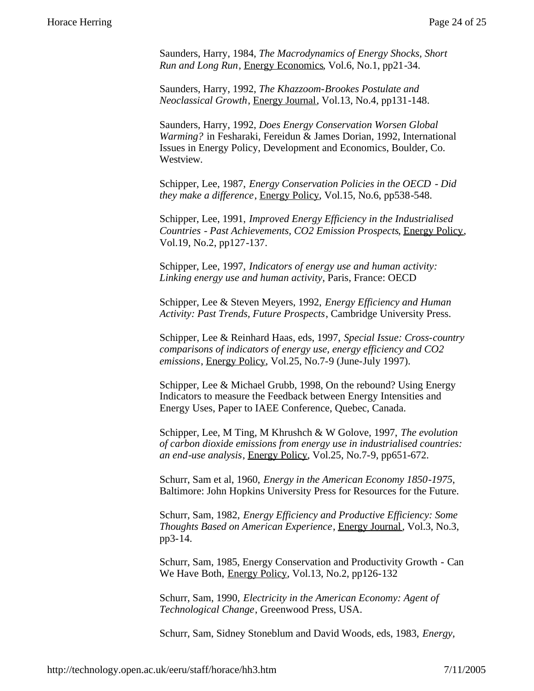Saunders, Harry, 1984, *The Macrodynamics of Energy Shocks, Short Run and Long Run*, Energy Economics, Vol.6, No.1, pp21-34.

Saunders, Harry, 1992, *The Khazzoom-Brookes Postulate and Neoclassical Growth*, Energy Journal, Vol.13, No.4, pp131-148.

Saunders, Harry, 1992, *Does Energy Conservation Worsen Global Warming?* in Fesharaki, Fereidun & James Dorian, 1992, International Issues in Energy Policy, Development and Economics, Boulder, Co. Westview.

Schipper, Lee, 1987, *Energy Conservation Policies in the OECD - Did they make a difference*, Energy Policy, Vol.15, No.6, pp538-548.

Schipper, Lee, 1991, *Improved Energy Efficiency in the Industrialised Countries - Past Achievements, CO2 Emission Prospects*, Energy Policy, Vol.19, No.2, pp127-137.

Schipper, Lee, 1997, *Indicators of energy use and human activity: Linking energy use and human activity*, Paris, France: OECD

Schipper, Lee & Steven Meyers, 1992, *Energy Efficiency and Human Activity: Past Trends, Future Prospects*, Cambridge University Press.

Schipper, Lee & Reinhard Haas, eds, 1997, *Special Issue: Cross-country comparisons of indicators of energy use, energy efficiency and CO2 emissions*, Energy Policy, Vol.25, No.7-9 (June-July 1997).

Schipper, Lee & Michael Grubb, 1998, On the rebound? Using Energy Indicators to measure the Feedback between Energy Intensities and Energy Uses, Paper to IAEE Conference, Quebec, Canada.

Schipper, Lee, M Ting, M Khrushch & W Golove, 1997, *The evolution of carbon dioxide emissions from energy use in industrialised countries: an end-use analysis*, Energy Policy, Vol.25, No.7-9, pp651-672.

Schurr, Sam et al, 1960, *Energy in the American Economy 1850-1975*, Baltimore: John Hopkins University Press for Resources for the Future.

Schurr, Sam, 1982, *Energy Efficiency and Productive Efficiency: Some Thoughts Based on American Experience*, Energy Journal, Vol.3, No.3, pp3-14.

Schurr, Sam, 1985, Energy Conservation and Productivity Growth - Can We Have Both, Energy Policy, Vol.13, No.2, pp126-132

Schurr, Sam, 1990, *Electricity in the American Economy: Agent of Technological Change*, Greenwood Press, USA.

Schurr, Sam, Sidney Stoneblum and David Woods, eds, 1983, *Energy,*